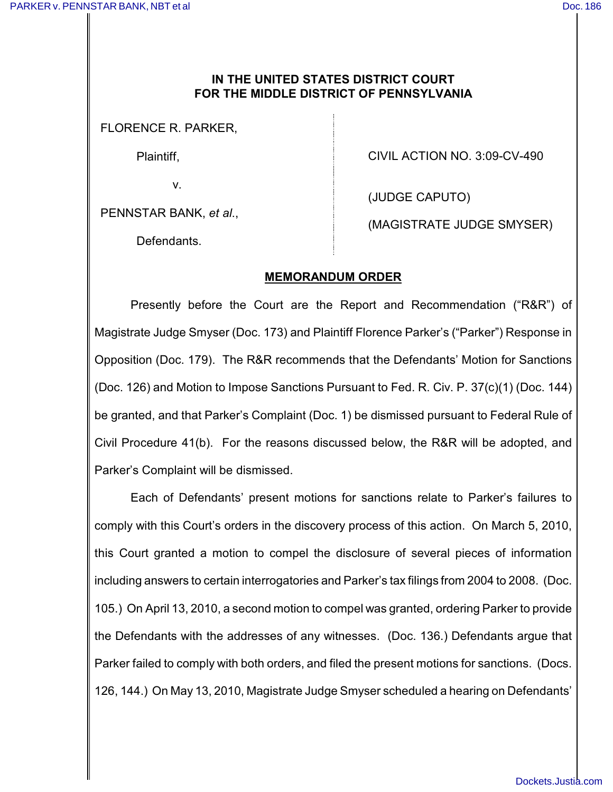## **IN THE UNITED STATES DISTRICT COURT FOR THE MIDDLE DISTRICT OF PENNSYLVANIA**

FLORENCE R. PARKER,

Plaintiff,

v.

CIVIL ACTION NO. 3:09-CV-490

PENNSTAR BANK, *et al*.,

(JUDGE CAPUTO)

Defendants.

(MAGISTRATE JUDGE SMYSER)

## **MEMORANDUM ORDER**

Presently before the Court are the Report and Recommendation ("R&R") of Magistrate Judge Smyser (Doc. 173) and Plaintiff Florence Parker's ("Parker") Response in Opposition (Doc. 179). The R&R recommends that the Defendants' Motion for Sanctions (Doc. 126) and Motion to Impose Sanctions Pursuant to Fed. R. Civ. P. 37(c)(1) (Doc. 144) be granted, and that Parker's Complaint (Doc. 1) be dismissed pursuant to Federal Rule of Civil Procedure 41(b). For the reasons discussed below, the R&R will be adopted, and Parker's Complaint will be dismissed.

Each of Defendants' present motions for sanctions relate to Parker's failures to comply with this Court's orders in the discovery process of this action. On March 5, 2010, this Court granted a motion to compel the disclosure of several pieces of information including answers to certain interrogatories and Parker's tax filings from 2004 to 2008. (Doc. 105.) On April 13, 2010, a second motion to compel was granted, ordering Parker to provide the Defendants with the addresses of any witnesses. (Doc. 136.) Defendants argue that Parker failed to comply with both orders, and filed the present motions for sanctions. (Docs. 126, 144.) On May 13, 2010, Magistrate Judge Smyser scheduled a hearing on Defendants'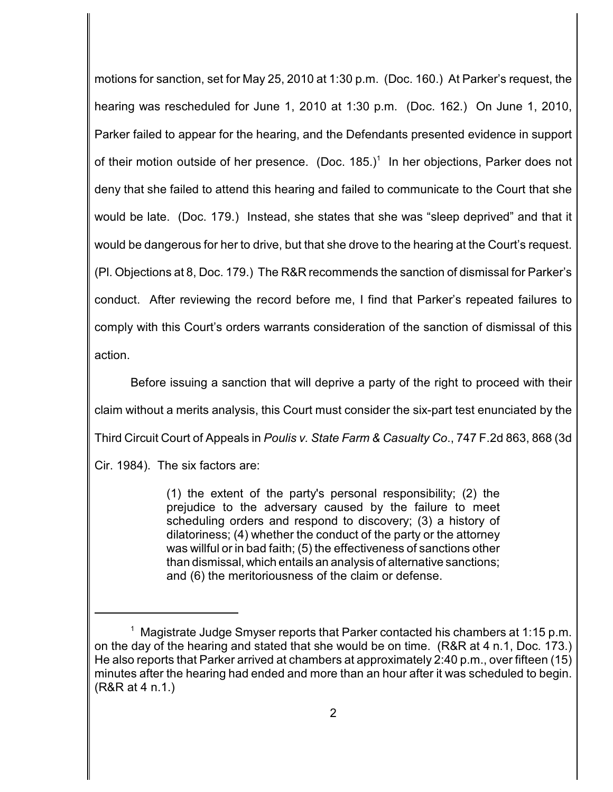motions for sanction, set for May 25, 2010 at 1:30 p.m. (Doc. 160.) At Parker's request, the hearing was rescheduled for June 1, 2010 at 1:30 p.m. (Doc. 162.) On June 1, 2010, Parker failed to appear for the hearing, and the Defendants presented evidence in support of their motion outside of her presence. (Doc.  $185.$ )<sup>1</sup> In her objections, Parker does not deny that she failed to attend this hearing and failed to communicate to the Court that she would be late. (Doc. 179.) Instead, she states that she was "sleep deprived" and that it would be dangerous for her to drive, but that she drove to the hearing at the Court's request. (Pl. Objections at 8, Doc. 179.) The R&R recommends the sanction of dismissal for Parker's conduct. After reviewing the record before me, I find that Parker's repeated failures to comply with this Court's orders warrants consideration of the sanction of dismissal of this action.

Before issuing a sanction that will deprive a party of the right to proceed with their claim without a merits analysis, this Court must consider the six-part test enunciated by the Third Circuit Court of Appeals in *Poulis v. State Farm & Casualty Co*., 747 F.2d 863, 868 (3d Cir. 1984). The six factors are:

> (1) the extent of the party's personal responsibility; (2) the prejudice to the adversary caused by the failure to meet scheduling orders and respond to discovery; (3) a history of dilatoriness; (4) whether the conduct of the party or the attorney was willful or in bad faith; (5) the effectiveness of sanctions other than dismissal, which entails an analysis of alternative sanctions; and (6) the meritoriousness of the claim or defense.

<sup>&</sup>lt;sup>1</sup> Magistrate Judge Smyser reports that Parker contacted his chambers at 1:15 p.m. on the day of the hearing and stated that she would be on time. (R&R at 4 n.1, Doc. 173.) He also reports that Parker arrived at chambers at approximately 2:40 p.m., over fifteen (15) minutes after the hearing had ended and more than an hour after it was scheduled to begin. (R&R at 4 n.1.)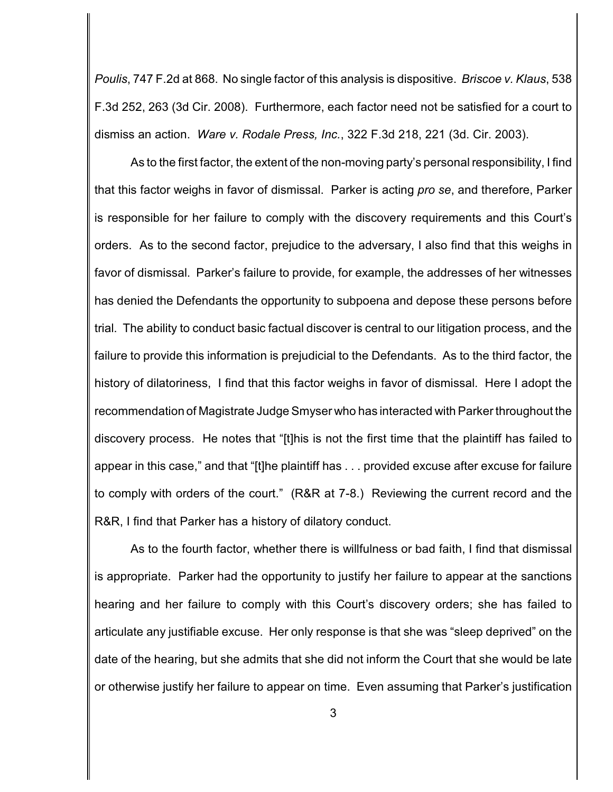*Poulis*, 747 F.2d at 868. No single factor of this analysis is dispositive. *Briscoe v. Klaus*, 538 F.3d 252, 263 (3d Cir. 2008). Furthermore, each factor need not be satisfied for a court to dismiss an action. *Ware v. Rodale Press, Inc.*, 322 F.3d 218, 221 (3d. Cir. 2003).

As to the first factor, the extent of the non-moving party's personal responsibility, I find that this factor weighs in favor of dismissal. Parker is acting *pro se*, and therefore, Parker is responsible for her failure to comply with the discovery requirements and this Court's orders. As to the second factor, prejudice to the adversary, I also find that this weighs in favor of dismissal. Parker's failure to provide, for example, the addresses of her witnesses has denied the Defendants the opportunity to subpoena and depose these persons before trial. The ability to conduct basic factual discover is central to our litigation process, and the failure to provide this information is prejudicial to the Defendants. As to the third factor, the history of dilatoriness, I find that this factor weighs in favor of dismissal. Here I adopt the recommendation of Magistrate Judge Smyser who has interacted with Parker throughout the discovery process. He notes that "[t]his is not the first time that the plaintiff has failed to appear in this case," and that "[t]he plaintiff has . . . provided excuse after excuse for failure to comply with orders of the court." (R&R at 7-8.) Reviewing the current record and the R&R, I find that Parker has a history of dilatory conduct.

As to the fourth factor, whether there is willfulness or bad faith, I find that dismissal is appropriate. Parker had the opportunity to justify her failure to appear at the sanctions hearing and her failure to comply with this Court's discovery orders; she has failed to articulate any justifiable excuse. Her only response is that she was "sleep deprived" on the date of the hearing, but she admits that she did not inform the Court that she would be late or otherwise justify her failure to appear on time. Even assuming that Parker's justification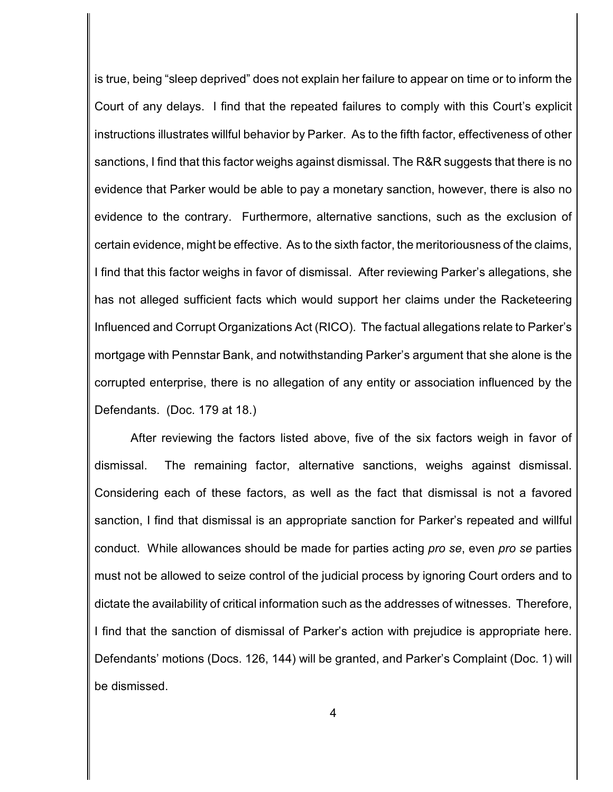is true, being "sleep deprived" does not explain her failure to appear on time or to inform the Court of any delays. I find that the repeated failures to comply with this Court's explicit instructions illustrates willful behavior by Parker. As to the fifth factor, effectiveness of other sanctions, I find that this factor weighs against dismissal. The R&R suggests that there is no evidence that Parker would be able to pay a monetary sanction, however, there is also no evidence to the contrary. Furthermore, alternative sanctions, such as the exclusion of certain evidence, might be effective. As to the sixth factor, the meritoriousness of the claims, I find that this factor weighs in favor of dismissal. After reviewing Parker's allegations, she has not alleged sufficient facts which would support her claims under the Racketeering Influenced and Corrupt Organizations Act (RICO). The factual allegations relate to Parker's mortgage with Pennstar Bank, and notwithstanding Parker's argument that she alone is the corrupted enterprise, there is no allegation of any entity or association influenced by the Defendants. (Doc. 179 at 18.)

After reviewing the factors listed above, five of the six factors weigh in favor of dismissal. The remaining factor, alternative sanctions, weighs against dismissal. Considering each of these factors, as well as the fact that dismissal is not a favored sanction, I find that dismissal is an appropriate sanction for Parker's repeated and willful conduct. While allowances should be made for parties acting *pro se*, even *pro se* parties must not be allowed to seize control of the judicial process by ignoring Court orders and to dictate the availability of critical information such as the addresses of witnesses. Therefore, I find that the sanction of dismissal of Parker's action with prejudice is appropriate here. Defendants' motions (Docs. 126, 144) will be granted, and Parker's Complaint (Doc. 1) will be dismissed.